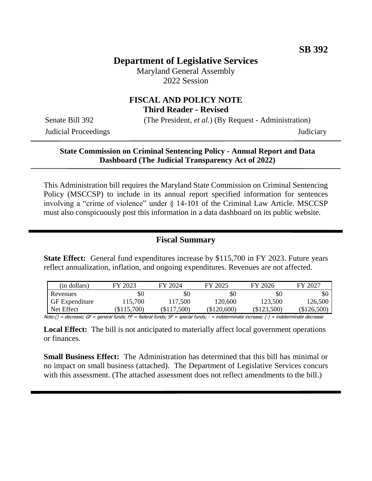# **Department of Legislative Services**

Maryland General Assembly 2022 Session

## **FISCAL AND POLICY NOTE Third Reader - Revised**

Senate Bill 392 (The President, *et al.*) (By Request - Administration)

Judicial Proceedings Judiciary

#### **State Commission on Criminal Sentencing Policy - Annual Report and Data Dashboard (The Judicial Transparency Act of 2022)**

This Administration bill requires the Maryland State Commission on Criminal Sentencing Policy (MSCCSP) to include in its annual report specified information for sentences involving a "crime of violence" under § 14-101 of the Criminal Law Article. MSCCSP must also conspicuously post this information in a data dashboard on its public website.

## **Fiscal Summary**

**State Effect:** General fund expenditures increase by \$115,700 in FY 2023. Future years reflect annualization, inflation, and ongoing expenditures. Revenues are not affected.

| (in dollars)          | FY 2023   | FY 2024       | FY 2025       | FY 2026       | FY 2027     |
|-----------------------|-----------|---------------|---------------|---------------|-------------|
| Revenues              | \$C       | \$0           | \$0           | \$0           | SC          |
| <b>GF</b> Expenditure | 115,700   | 117.500       | 120,600       | 123.500       | 126,500     |
| Net Effect            | \$115,700 | $(\$117,500)$ | $(\$120,600)$ | $(\$123,500)$ | (\$126,500) |

Note:() = decrease; GF = general funds; FF = federal funds; SF = special funds; - = indeterminate increase; (-) = indeterminate decrease

**Local Effect:** The bill is not anticipated to materially affect local government operations or finances.

**Small Business Effect:** The Administration has determined that this bill has minimal or no impact on small business (attached). The Department of Legislative Services concurs with this assessment. (The attached assessment does not reflect amendments to the bill.)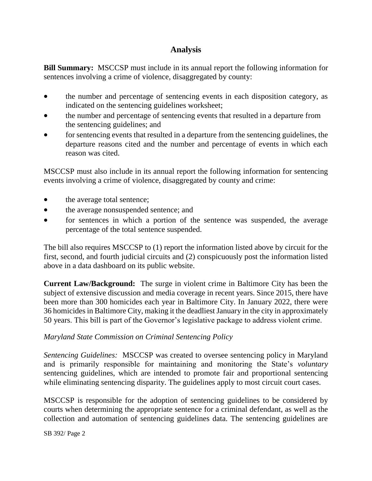# **Analysis**

**Bill Summary:** MSCCSP must include in its annual report the following information for sentences involving a crime of violence, disaggregated by county:

- the number and percentage of sentencing events in each disposition category, as indicated on the sentencing guidelines worksheet;
- the number and percentage of sentencing events that resulted in a departure from the sentencing guidelines; and
- for sentencing events that resulted in a departure from the sentencing guidelines, the departure reasons cited and the number and percentage of events in which each reason was cited.

MSCCSP must also include in its annual report the following information for sentencing events involving a crime of violence, disaggregated by county and crime:

- the average total sentence;
- the average nonsuspended sentence; and
- for sentences in which a portion of the sentence was suspended, the average percentage of the total sentence suspended.

The bill also requires MSCCSP to (1) report the information listed above by circuit for the first, second, and fourth judicial circuits and (2) conspicuously post the information listed above in a data dashboard on its public website.

**Current Law/Background:** The surge in violent crime in Baltimore City has been the subject of extensive discussion and media coverage in recent years. Since 2015, there have been more than 300 homicides each year in Baltimore City. In January 2022, there were 36 homicides in Baltimore City, making it the deadliest January in the city in approximately 50 years. This bill is part of the Governor's legislative package to address violent crime.

#### *Maryland State Commission on Criminal Sentencing Policy*

*Sentencing Guidelines:* MSCCSP was created to oversee sentencing policy in Maryland and is primarily responsible for maintaining and monitoring the State's *voluntary*  sentencing guidelines, which are intended to promote fair and proportional sentencing while eliminating sentencing disparity. The guidelines apply to most circuit court cases.

MSCCSP is responsible for the adoption of sentencing guidelines to be considered by courts when determining the appropriate sentence for a criminal defendant, as well as the collection and automation of sentencing guidelines data. The sentencing guidelines are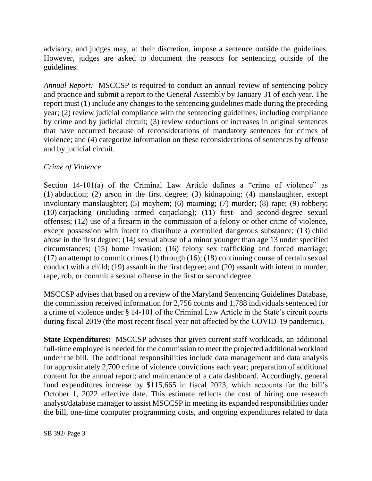advisory, and judges may, at their discretion, impose a sentence outside the guidelines. However, judges are asked to document the reasons for sentencing outside of the guidelines.

*Annual Report:* MSCCSP is required to conduct an annual review of sentencing policy and practice and submit a report to the General Assembly by January 31 of each year. The report must (1) include any changes to the sentencing guidelines made during the preceding year; (2) review judicial compliance with the sentencing guidelines, including compliance by crime and by judicial circuit; (3) review reductions or increases in original sentences that have occurred because of reconsiderations of mandatory sentences for crimes of violence; and (4) categorize information on these reconsiderations of sentences by offense and by judicial circuit.

#### *Crime of Violence*

Section 14-101(a) of the Criminal Law Article defines a "crime of violence" as (1) abduction; (2) arson in the first degree; (3) kidnapping; (4) manslaughter, except involuntary manslaughter; (5) mayhem; (6) maiming; (7) murder; (8) rape; (9) robbery; (10) carjacking (including armed carjacking); (11) first- and second-degree sexual offenses; (12) use of a firearm in the commission of a felony or other crime of violence, except possession with intent to distribute a controlled dangerous substance; (13) child abuse in the first degree; (14) sexual abuse of a minor younger than age 13 under specified circumstances; (15) home invasion; (16) felony sex trafficking and forced marriage; (17) an attempt to commit crimes (1) through (16); (18) continuing course of certain sexual conduct with a child; (19) assault in the first degree; and (20) assault with intent to murder, rape, rob, or commit a sexual offense in the first or second degree.

MSCCSP advises that based on a review of the Maryland Sentencing Guidelines Database, the commission received information for 2,756 counts and 1,788 individuals sentenced for a crime of violence under § 14-101 of the Criminal Law Article in the State's circuit courts during fiscal 2019 (the most recent fiscal year not affected by the COVID-19 pandemic).

**State Expenditures:** MSCCSP advises that given current staff workloads, an additional full-time employee is needed for the commission to meet the projected additional workload under the bill. The additional responsibilities include data management and data analysis for approximately 2,700 crime of violence convictions each year; preparation of additional content for the annual report; and maintenance of a data dashboard. Accordingly, general fund expenditures increase by \$115,665 in fiscal 2023, which accounts for the bill's October 1, 2022 effective date. This estimate reflects the cost of hiring one research analyst/database manager to assist MSCCSP in meeting its expanded responsibilities under the bill, one-time computer programming costs, and ongoing expenditures related to data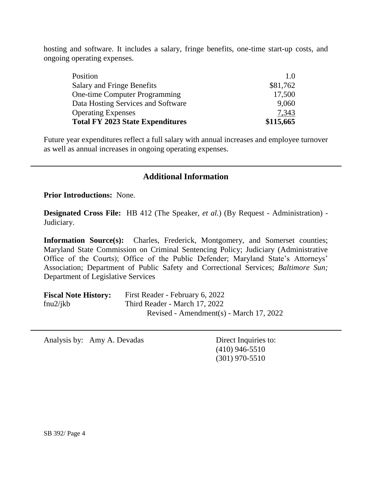hosting and software. It includes a salary, fringe benefits, one-time start-up costs, and ongoing operating expenses.

| 17,500<br>9,060<br>7,343 |
|--------------------------|
|                          |
|                          |
|                          |
| \$81,762                 |
| 1.0                      |
|                          |

Future year expenditures reflect a full salary with annual increases and employee turnover as well as annual increases in ongoing operating expenses.

## **Additional Information**

**Prior Introductions:** None.

**Designated Cross File:** HB 412 (The Speaker, *et al.*) (By Request - Administration) - Judiciary.

**Information Source(s):** Charles, Frederick, Montgomery, and Somerset counties; Maryland State Commission on Criminal Sentencing Policy; Judiciary (Administrative Office of the Courts); Office of the Public Defender; Maryland State's Attorneys' Association; Department of Public Safety and Correctional Services; *Baltimore Sun;*  Department of Legislative Services

| <b>Fiscal Note History:</b> | First Reader - February 6, 2022         |
|-----------------------------|-----------------------------------------|
| fnu2/ikb                    | Third Reader - March 17, 2022           |
|                             | Revised - Amendment(s) - March 17, 2022 |

Analysis by: Amy A. Devadas Direct Inquiries to:

(410) 946-5510 (301) 970-5510